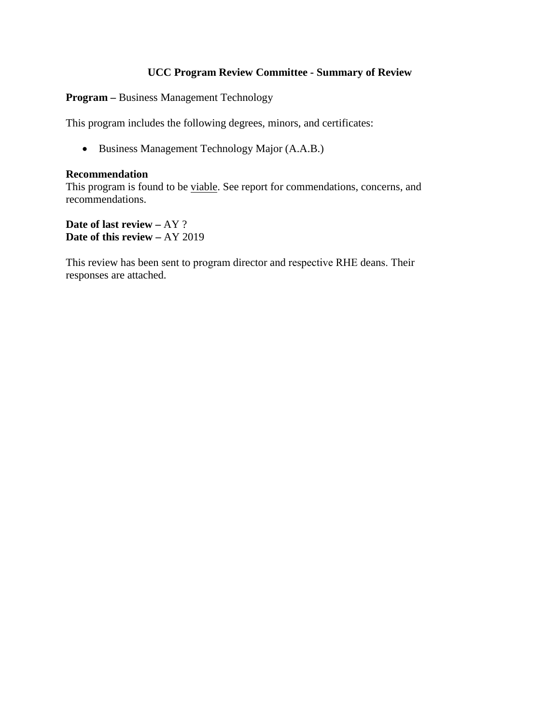## **UCC Program Review Committee - Summary of Review**

**Program –** Business Management Technology

This program includes the following degrees, minors, and certificates:

• Business Management Technology Major (A.A.B.)

#### **Recommendation**

This program is found to be viable. See report for commendations, concerns, and recommendations.

**Date of last review –** AY ? **Date of this review –** AY 2019

This review has been sent to program director and respective RHE deans. Their responses are attached.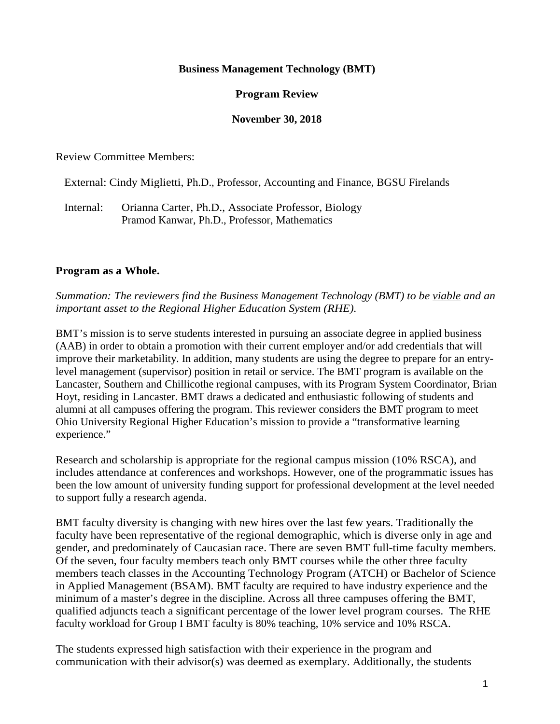### **Business Management Technology (BMT)**

### **Program Review**

#### **November 30, 2018**

Review Committee Members:

External: Cindy Miglietti, Ph.D., Professor, Accounting and Finance, BGSU Firelands

 Internal: Orianna Carter, Ph.D., Associate Professor, Biology Pramod Kanwar, Ph.D., Professor, Mathematics

#### **Program as a Whole.**

*Summation: The reviewers find the Business Management Technology (BMT) to be viable and an important asset to the Regional Higher Education System (RHE).*

BMT's mission is to serve students interested in pursuing an associate degree in applied business (AAB) in order to obtain a promotion with their current employer and/or add credentials that will improve their marketability. In addition, many students are using the degree to prepare for an entrylevel management (supervisor) position in retail or service. The BMT program is available on the Lancaster, Southern and Chillicothe regional campuses, with its Program System Coordinator, Brian Hoyt, residing in Lancaster. BMT draws a dedicated and enthusiastic following of students and alumni at all campuses offering the program. This reviewer considers the BMT program to meet Ohio University Regional Higher Education's mission to provide a "transformative learning experience."

Research and scholarship is appropriate for the regional campus mission (10% RSCA), and includes attendance at conferences and workshops. However, one of the programmatic issues has been the low amount of university funding support for professional development at the level needed to support fully a research agenda.

BMT faculty diversity is changing with new hires over the last few years. Traditionally the faculty have been representative of the regional demographic, which is diverse only in age and gender, and predominately of Caucasian race. There are seven BMT full-time faculty members. Of the seven, four faculty members teach only BMT courses while the other three faculty members teach classes in the Accounting Technology Program (ATCH) or Bachelor of Science in Applied Management (BSAM). BMT faculty are required to have industry experience and the minimum of a master's degree in the discipline. Across all three campuses offering the BMT, qualified adjuncts teach a significant percentage of the lower level program courses. The RHE faculty workload for Group I BMT faculty is 80% teaching, 10% service and 10% RSCA.

The students expressed high satisfaction with their experience in the program and communication with their advisor(s) was deemed as exemplary. Additionally, the students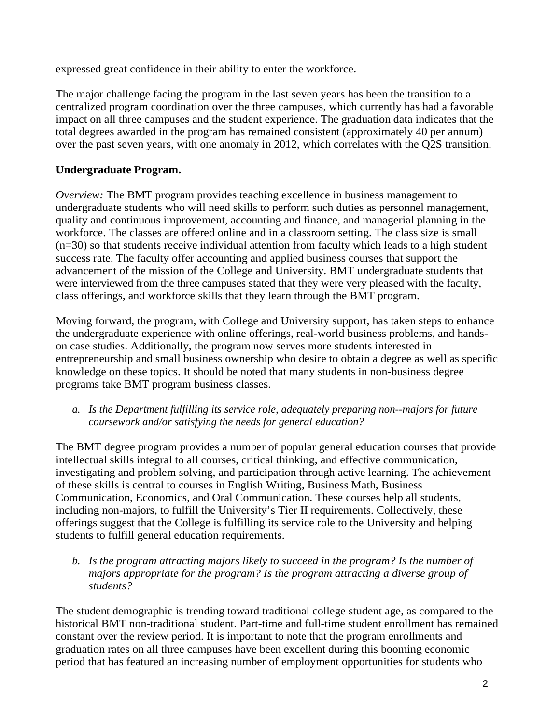expressed great confidence in their ability to enter the workforce.

The major challenge facing the program in the last seven years has been the transition to a centralized program coordination over the three campuses, which currently has had a favorable impact on all three campuses and the student experience. The graduation data indicates that the total degrees awarded in the program has remained consistent (approximately 40 per annum) over the past seven years, with one anomaly in 2012, which correlates with the Q2S transition.

## **Undergraduate Program.**

*Overview:* The BMT program provides teaching excellence in business management to undergraduate students who will need skills to perform such duties as personnel management, quality and continuous improvement, accounting and finance, and managerial planning in the workforce. The classes are offered online and in a classroom setting. The class size is small (n=30) so that students receive individual attention from faculty which leads to a high student success rate. The faculty offer accounting and applied business courses that support the advancement of the mission of the College and University. BMT undergraduate students that were interviewed from the three campuses stated that they were very pleased with the faculty, class offerings, and workforce skills that they learn through the BMT program.

Moving forward, the program, with College and University support, has taken steps to enhance the undergraduate experience with online offerings, real-world business problems, and handson case studies. Additionally, the program now serves more students interested in entrepreneurship and small business ownership who desire to obtain a degree as well as specific knowledge on these topics. It should be noted that many students in non-business degree programs take BMT program business classes.

*a. Is the Department fulfilling its service role, adequately preparing non--majors for future coursework and/or satisfying the needs for general education?*

The BMT degree program provides a number of popular general education courses that provide intellectual skills integral to all courses, critical thinking, and effective communication, investigating and problem solving, and participation through active learning. The achievement of these skills is central to courses in English Writing, Business Math, Business Communication, Economics, and Oral Communication. These courses help all students, including non-majors, to fulfill the University's Tier II requirements. Collectively, these offerings suggest that the College is fulfilling its service role to the University and helping students to fulfill general education requirements.

*b. Is the program attracting majors likely to succeed in the program? Is the number of majors appropriate for the program? Is the program attracting a diverse group of students?*

The student demographic is trending toward traditional college student age, as compared to the historical BMT non-traditional student. Part-time and full-time student enrollment has remained constant over the review period. It is important to note that the program enrollments and graduation rates on all three campuses have been excellent during this booming economic period that has featured an increasing number of employment opportunities for students who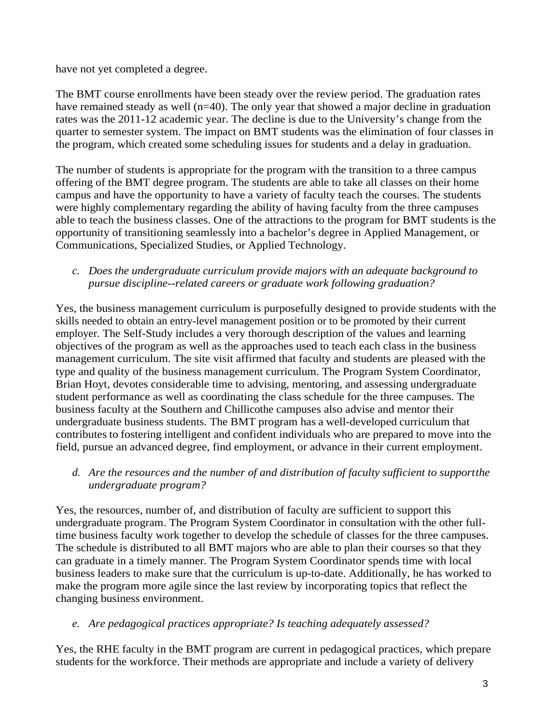have not yet completed a degree.

The BMT course enrollments have been steady over the review period. The graduation rates have remained steady as well (n=40). The only year that showed a major decline in graduation rates was the 2011-12 academic year. The decline is due to the University's change from the quarter to semester system. The impact on BMT students was the elimination of four classes in the program, which created some scheduling issues for students and a delay in graduation.

The number of students is appropriate for the program with the transition to a three campus offering of the BMT degree program. The students are able to take all classes on their home campus and have the opportunity to have a variety of faculty teach the courses. The students were highly complementary regarding the ability of having faculty from the three campuses able to teach the business classes. One of the attractions to the program for BMT students is the opportunity of transitioning seamlessly into a bachelor's degree in Applied Management, or Communications, Specialized Studies, or Applied Technology.

## *c. Does the undergraduate curriculum provide majors with an adequate background to pursue discipline--related careers or graduate work following graduation?*

Yes, the business management curriculum is purposefully designed to provide students with the skills needed to obtain an entry-level management position or to be promoted by their current employer. The Self-Study includes a very thorough description of the values and learning objectives of the program as well as the approaches used to teach each class in the business management curriculum. The site visit affirmed that faculty and students are pleased with the type and quality of the business management curriculum. The Program System Coordinator, Brian Hoyt, devotes considerable time to advising, mentoring, and assessing undergraduate student performance as well as coordinating the class schedule for the three campuses. The business faculty at the Southern and Chillicothe campuses also advise and mentor their undergraduate business students. The BMT program has a well-developed curriculum that contributes to fostering intelligent and confident individuals who are prepared to move into the field, pursue an advanced degree, find employment, or advance in their current employment.

# *d. Are the resources and the number of and distribution of faculty sufficient to supportthe undergraduate program?*

Yes, the resources, number of, and distribution of faculty are sufficient to support this undergraduate program. The Program System Coordinator in consultation with the other fulltime business faculty work together to develop the schedule of classes for the three campuses. The schedule is distributed to all BMT majors who are able to plan their courses so that they can graduate in a timely manner. The Program System Coordinator spends time with local business leaders to make sure that the curriculum is up-to-date. Additionally, he has worked to make the program more agile since the last review by incorporating topics that reflect the changing business environment.

## *e. Are pedagogical practices appropriate? Is teaching adequately assessed?*

Yes, the RHE faculty in the BMT program are current in pedagogical practices, which prepare students for the workforce. Their methods are appropriate and include a variety of delivery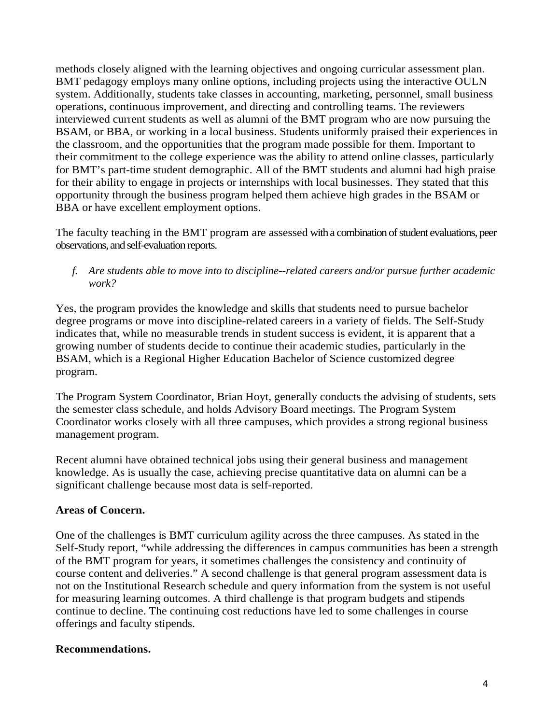methods closely aligned with the learning objectives and ongoing curricular assessment plan. BMT pedagogy employs many online options, including projects using the interactive OULN system. Additionally, students take classes in accounting, marketing, personnel, small business operations, continuous improvement, and directing and controlling teams. The reviewers interviewed current students as well as alumni of the BMT program who are now pursuing the BSAM, or BBA, or working in a local business. Students uniformly praised their experiences in the classroom, and the opportunities that the program made possible for them. Important to their commitment to the college experience was the ability to attend online classes, particularly for BMT's part-time student demographic. All of the BMT students and alumni had high praise for their ability to engage in projects or internships with local businesses. They stated that this opportunity through the business program helped them achieve high grades in the BSAM or BBA or have excellent employment options.

The faculty teaching in the BMT program are assessed with a combination of student evaluations, peer observations, and self-evaluation reports.

*f. Are students able to move into to discipline--related careers and/or pursue further academic work?*

Yes, the program provides the knowledge and skills that students need to pursue bachelor degree programs or move into discipline-related careers in a variety of fields. The Self-Study indicates that, while no measurable trends in student success is evident, it is apparent that a growing number of students decide to continue their academic studies, particularly in the BSAM, which is a Regional Higher Education Bachelor of Science customized degree program.

The Program System Coordinator, Brian Hoyt, generally conducts the advising of students, sets the semester class schedule, and holds Advisory Board meetings. The Program System Coordinator works closely with all three campuses, which provides a strong regional business management program.

Recent alumni have obtained technical jobs using their general business and management knowledge. As is usually the case, achieving precise quantitative data on alumni can be a significant challenge because most data is self-reported.

### **Areas of Concern.**

One of the challenges is BMT curriculum agility across the three campuses. As stated in the Self-Study report, "while addressing the differences in campus communities has been a strength of the BMT program for years, it sometimes challenges the consistency and continuity of course content and deliveries." A second challenge is that general program assessment data is not on the Institutional Research schedule and query information from the system is not useful for measuring learning outcomes. A third challenge is that program budgets and stipends continue to decline. The continuing cost reductions have led to some challenges in course offerings and faculty stipends.

### **Recommendations.**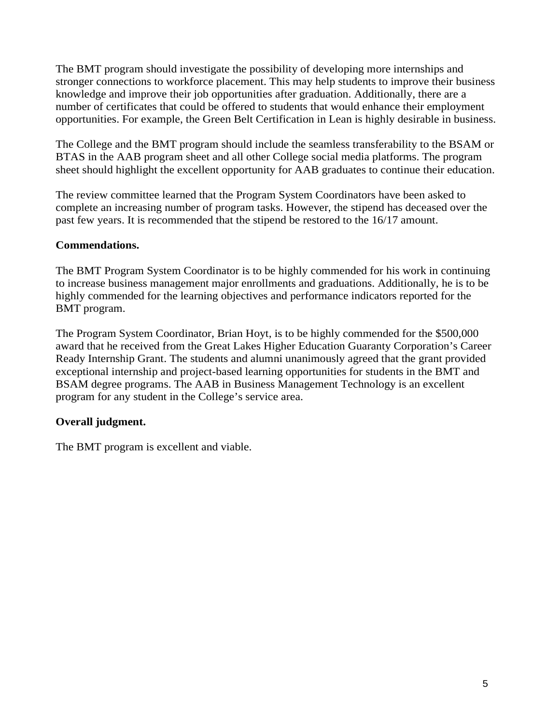The BMT program should investigate the possibility of developing more internships and stronger connections to workforce placement. This may help students to improve their business knowledge and improve their job opportunities after graduation. Additionally, there are a number of certificates that could be offered to students that would enhance their employment opportunities. For example, the Green Belt Certification in Lean is highly desirable in business.

The College and the BMT program should include the seamless transferability to the BSAM or BTAS in the AAB program sheet and all other College social media platforms. The program sheet should highlight the excellent opportunity for AAB graduates to continue their education.

The review committee learned that the Program System Coordinators have been asked to complete an increasing number of program tasks. However, the stipend has deceased over the past few years. It is recommended that the stipend be restored to the 16/17 amount.

### **Commendations.**

The BMT Program System Coordinator is to be highly commended for his work in continuing to increase business management major enrollments and graduations. Additionally, he is to be highly commended for the learning objectives and performance indicators reported for the BMT program.

The Program System Coordinator, Brian Hoyt, is to be highly commended for the \$500,000 award that he received from the Great Lakes Higher Education Guaranty Corporation's Career Ready Internship Grant. The students and alumni unanimously agreed that the grant provided exceptional internship and project-based learning opportunities for students in the BMT and BSAM degree programs. The AAB in Business Management Technology is an excellent program for any student in the College's service area.

## **Overall judgment.**

The BMT program is excellent and viable.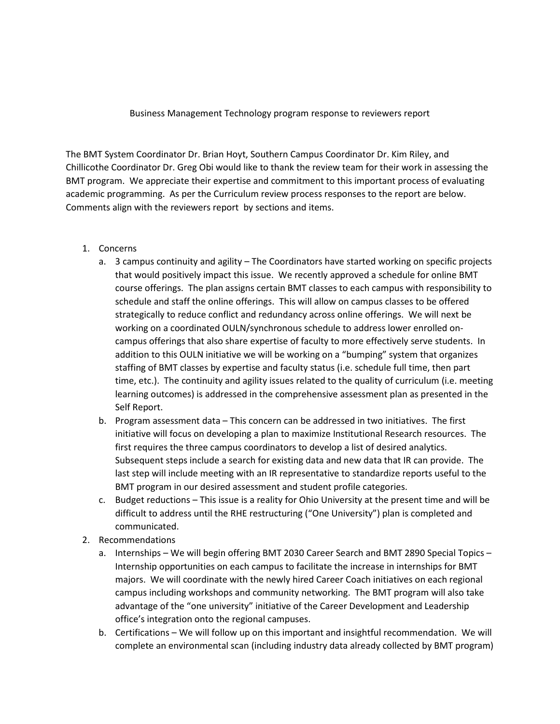Business Management Technology program response to reviewers report

The BMT System Coordinator Dr. Brian Hoyt, Southern Campus Coordinator Dr. Kim Riley, and Chillicothe Coordinator Dr. Greg Obi would like to thank the review team for their work in assessing the BMT program. We appreciate their expertise and commitment to this important process of evaluating academic programming. As per the Curriculum review process responses to the report are below. Comments align with the reviewers report by sections and items.

- 1. Concerns
	- a. 3 campus continuity and agility The Coordinators have started working on specific projects that would positively impact this issue. We recently approved a schedule for online BMT course offerings. The plan assigns certain BMT classes to each campus with responsibility to schedule and staff the online offerings. This will allow on campus classes to be offered strategically to reduce conflict and redundancy across online offerings. We will next be working on a coordinated OULN/synchronous schedule to address lower enrolled oncampus offerings that also share expertise of faculty to more effectively serve students. In addition to this OULN initiative we will be working on a "bumping" system that organizes staffing of BMT classes by expertise and faculty status (i.e. schedule full time, then part time, etc.). The continuity and agility issues related to the quality of curriculum (i.e. meeting learning outcomes) is addressed in the comprehensive assessment plan as presented in the Self Report.
	- b. Program assessment data This concern can be addressed in two initiatives. The first initiative will focus on developing a plan to maximize Institutional Research resources. The first requires the three campus coordinators to develop a list of desired analytics. Subsequent steps include a search for existing data and new data that IR can provide. The last step will include meeting with an IR representative to standardize reports useful to the BMT program in our desired assessment and student profile categories.
	- c. Budget reductions This issue is a reality for Ohio University at the present time and will be difficult to address until the RHE restructuring ("One University") plan is completed and communicated.
- 2. Recommendations
	- a. Internships We will begin offering BMT 2030 Career Search and BMT 2890 Special Topics Internship opportunities on each campus to facilitate the increase in internships for BMT majors. We will coordinate with the newly hired Career Coach initiatives on each regional campus including workshops and community networking. The BMT program will also take advantage of the "one university" initiative of the Career Development and Leadership office's integration onto the regional campuses.
	- b. Certifications We will follow up on this important and insightful recommendation. We will complete an environmental scan (including industry data already collected by BMT program)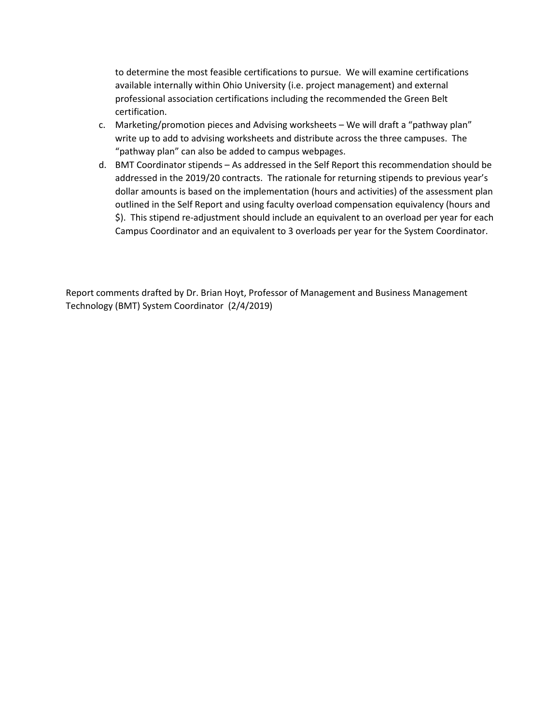to determine the most feasible certifications to pursue. We will examine certifications available internally within Ohio University (i.e. project management) and external professional association certifications including the recommended the Green Belt certification.

- c. Marketing/promotion pieces and Advising worksheets We will draft a "pathway plan" write up to add to advising worksheets and distribute across the three campuses. The "pathway plan" can also be added to campus webpages.
- d. BMT Coordinator stipends As addressed in the Self Report this recommendation should be addressed in the 2019/20 contracts. The rationale for returning stipends to previous year's dollar amounts is based on the implementation (hours and activities) of the assessment plan outlined in the Self Report and using faculty overload compensation equivalency (hours and \$). This stipend re-adjustment should include an equivalent to an overload per year for each Campus Coordinator and an equivalent to 3 overloads per year for the System Coordinator.

Report comments drafted by Dr. Brian Hoyt, Professor of Management and Business Management Technology (BMT) System Coordinator (2/4/2019)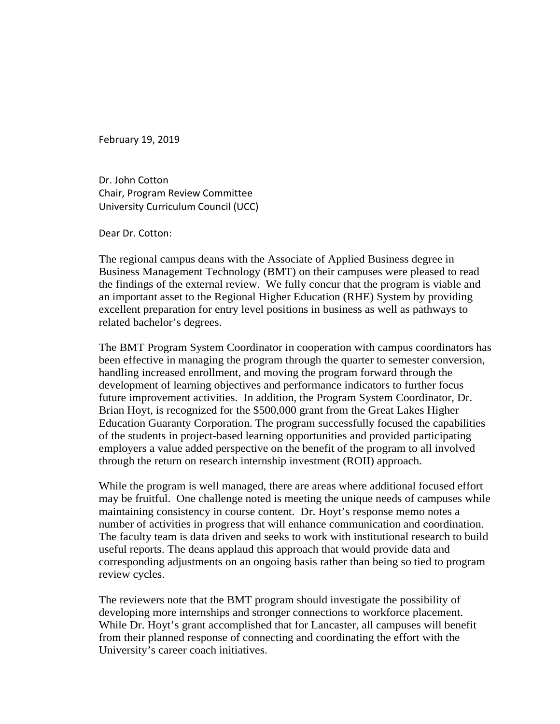February 19, 2019

Dr. John Cotton Chair, Program Review Committee University Curriculum Council (UCC)

Dear Dr. Cotton:

The regional campus deans with the Associate of Applied Business degree in Business Management Technology (BMT) on their campuses were pleased to read the findings of the external review. We fully concur that the program is viable and an important asset to the Regional Higher Education (RHE) System by providing excellent preparation for entry level positions in business as well as pathways to related bachelor's degrees.

The BMT Program System Coordinator in cooperation with campus coordinators has been effective in managing the program through the quarter to semester conversion, handling increased enrollment, and moving the program forward through the development of learning objectives and performance indicators to further focus future improvement activities. In addition, the Program System Coordinator, Dr. Brian Hoyt, is recognized for the \$500,000 grant from the Great Lakes Higher Education Guaranty Corporation. The program successfully focused the capabilities of the students in project-based learning opportunities and provided participating employers a value added perspective on the benefit of the program to all involved through the return on research internship investment (ROII) approach.

While the program is well managed, there are areas where additional focused effort may be fruitful. One challenge noted is meeting the unique needs of campuses while maintaining consistency in course content. Dr. Hoyt's response memo notes a number of activities in progress that will enhance communication and coordination. The faculty team is data driven and seeks to work with institutional research to build useful reports. The deans applaud this approach that would provide data and corresponding adjustments on an ongoing basis rather than being so tied to program review cycles.

The reviewers note that the BMT program should investigate the possibility of developing more internships and stronger connections to workforce placement. While Dr. Hoyt's grant accomplished that for Lancaster, all campuses will benefit from their planned response of connecting and coordinating the effort with the University's career coach initiatives.